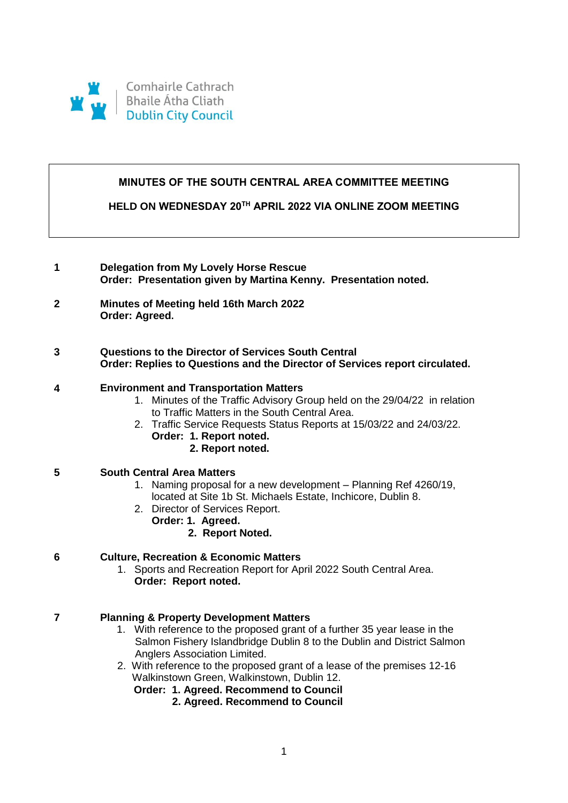

# **MINUTES OF THE SOUTH CENTRAL AREA COMMITTEE MEETING**

**HELD ON WEDNESDAY 20TH APRIL 2022 VIA ONLINE ZOOM MEETING**

- **1 Delegation from My Lovely Horse Rescue Order: Presentation given by Martina Kenny. Presentation noted.**
- **2 Minutes of Meeting held 16th March 2022 Order: Agreed.**
- **3 Questions to the Director of Services South Central Order: Replies to Questions and the Director of Services report circulated.**

#### **4 Environment and Transportation Matters**

- 1. Minutes of the Traffic Advisory Group held on the 29/04/22 in relation to Traffic Matters in the South Central Area.
- 2. Traffic Service Requests Status Reports at 15/03/22 and 24/03/22. **Order: 1. Report noted.** 
	- **2. Report noted.**

## **5 South Central Area Matters**

- 1. Naming proposal for a new development Planning Ref 4260/19, located at Site 1b St. Michaels Estate, Inchicore, Dublin 8.
- 2. Director of Services Report.
	- **Order: 1. Agreed.** 
		- **2. Report Noted.**

## **6 Culture, Recreation & Economic Matters**

1. Sports and Recreation Report for April 2022 South Central Area. **Order: Report noted.** 

## **7 Planning & Property Development Matters**

- 1. With reference to the proposed grant of a further 35 year lease in the Salmon Fishery Islandbridge Dublin 8 to the Dublin and District Salmon Anglers Association Limited.
- 2. With reference to the proposed grant of a lease of the premises 12-16 Walkinstown Green, Walkinstown, Dublin 12.
	- **Order: 1. Agreed. Recommend to Council**
		- **2. Agreed. Recommend to Council**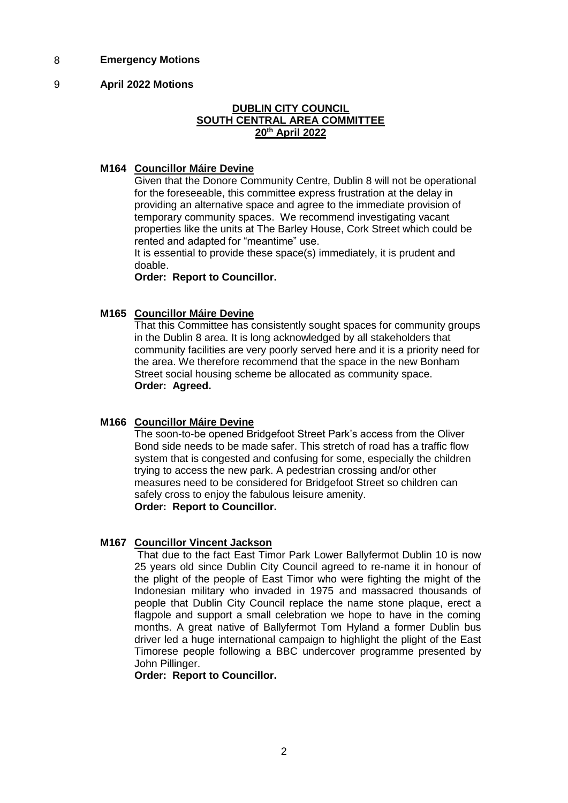## 8 **Emergency Motions**

### 9 **April 2022 Motions**

## **DUBLIN CITY COUNCIL SOUTH CENTRAL AREA COMMITTEE 20th April 2022**

## **M164 Councillor Máire Devine**

Given that the Donore Community Centre, Dublin 8 will not be operational for the foreseeable, this committee express frustration at the delay in providing an alternative space and agree to the immediate provision of temporary community spaces. We recommend investigating vacant properties like the units at The Barley House, Cork Street which could be rented and adapted for "meantime" use.

It is essential to provide these space(s) immediately, it is prudent and doable.

**Order: Report to Councillor.**

## **M165 Councillor Máire Devine**

That this Committee has consistently sought spaces for community groups in the Dublin 8 area. It is long acknowledged by all stakeholders that community facilities are very poorly served here and it is a priority need for the area. We therefore recommend that the space in the new Bonham Street social housing scheme be allocated as community space. **Order: Agreed.**

#### **M166 Councillor Máire Devine**

The soon-to-be opened Bridgefoot Street Park's access from the Oliver Bond side needs to be made safer. This stretch of road has a traffic flow system that is congested and confusing for some, especially the children trying to access the new park. A pedestrian crossing and/or other measures need to be considered for Bridgefoot Street so children can safely cross to enjoy the fabulous leisure amenity. **Order: Report to Councillor.**

#### **M167 Councillor Vincent Jackson**

That due to the fact East Timor Park Lower Ballyfermot Dublin 10 is now 25 years old since Dublin City Council agreed to re-name it in honour of the plight of the people of East Timor who were fighting the might of the Indonesian military who invaded in 1975 and massacred thousands of people that Dublin City Council replace the name stone plaque, erect a flagpole and support a small celebration we hope to have in the coming months. A great native of Ballyfermot Tom Hyland a former Dublin bus driver led a huge international campaign to highlight the plight of the East Timorese people following a BBC undercover programme presented by John Pillinger.

**Order: Report to Councillor.**